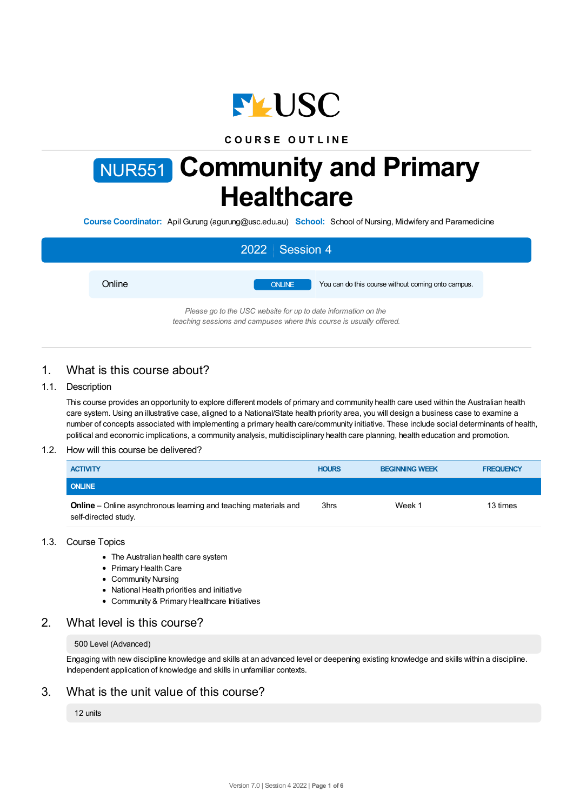

# **C O U R S E O U T L I N E**

# NUR551 **Community and Primary Healthcare**

**Course Coordinator:** Apil Gurung (agurung@usc.edu.au) **School:** School of Nursing, Midwifery and Paramedicine

|        | 2022 Session 4                                                                                                                         |
|--------|----------------------------------------------------------------------------------------------------------------------------------------|
| Online | <b>ONLINE</b><br>You can do this course without coming onto campus.                                                                    |
|        | Please go to the USC website for up to date information on the<br>teaching sessions and campuses where this course is usually offered. |

# 1. What is this course about?

## 1.1. Description

This course provides an opportunity to explore different models of primary and community health care used within the Australian health care system. Using an illustrative case, aligned to a National/State health priority area, you will design a business case to examine a number of concepts associated with implementing a primary health care/community initiative. These include social determinants of health, political and economic implications, a community analysis, multidisciplinary health care planning, health education and promotion.

## 1.2. How will this course be delivered?

| <b>ACTIVITY</b>                                                                                 | <b>HOURS</b> | <b>BEGINNING WEEK</b> | <b>FREQUENCY</b> |
|-------------------------------------------------------------------------------------------------|--------------|-----------------------|------------------|
| <b>ONLINE</b>                                                                                   |              |                       |                  |
| <b>Online</b> – Online asynchronous learning and teaching materials and<br>self-directed study. | 3hrs         | Week 1                | 13 times         |

## 1.3. Course Topics

- The Australian health care system
- Primary Health Care
- Community Nursing
- National Health priorities and initiative
- Community & Primary Healthcare Initiatives

# 2. What level is this course?

#### 500 Level (Advanced)

Engaging with new discipline knowledge and skills at an advanced level or deepening existing knowledge and skills within a discipline. Independent application of knowledge and skills in unfamiliar contexts.

## 3. What is the unit value of this course?

#### 12 units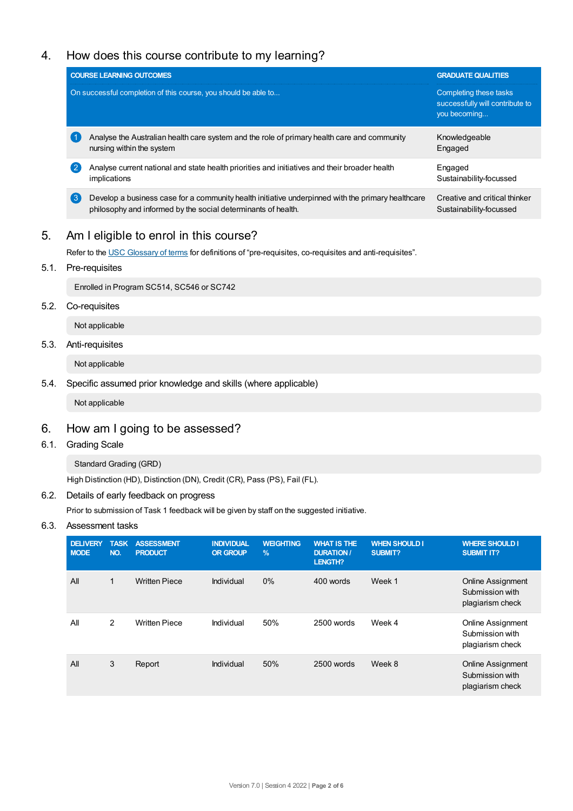# 4. How does this course contribute to my learning?

|                    | <b>COURSE LEARNING OUTCOMES</b>                                                                                                                                    | <b>GRADUATE QUALITIES</b>                                                 |  |
|--------------------|--------------------------------------------------------------------------------------------------------------------------------------------------------------------|---------------------------------------------------------------------------|--|
|                    | On successful completion of this course, you should be able to                                                                                                     | Completing these tasks<br>successfully will contribute to<br>you becoming |  |
| $\left( 1 \right)$ | Analyse the Australian health care system and the role of primary health care and community<br>nursing within the system                                           | Knowledgeable<br>Engaged                                                  |  |
| $\overline{2}$     | Analyse current national and state health priorities and initiatives and their broader health<br>implications                                                      | Engaged<br>Sustainability-focussed                                        |  |
| $\left( 3 \right)$ | Develop a business case for a community health initiative underpinned with the primary healthcare<br>philosophy and informed by the social determinants of health. | Creative and critical thinker<br>Sustainability-focussed                  |  |
|                    |                                                                                                                                                                    |                                                                           |  |

# 5. Am Ieligible to enrol in this course?

Refer to the USC [Glossary](https://www.usc.edu.au/about/policies-and-procedures/glossary-of-terms-for-policy-and-procedures) of terms for definitions of "pre-requisites, co-requisites and anti-requisites".

5.1. Pre-requisites

Enrolled in Program SC514, SC546 or SC742

5.2. Co-requisites

Not applicable

5.3. Anti-requisites

Not applicable

5.4. Specific assumed prior knowledge and skills (where applicable)

Not applicable

# 6. How am Igoing to be assessed?

6.1. Grading Scale

Standard Grading (GRD)

High Distinction (HD), Distinction (DN), Credit (CR), Pass (PS), Fail (FL).

## 6.2. Details of early feedback on progress

Prior to submission of Task 1 feedback will be given by staff on the suggested initiative.

## 6.3. Assessment tasks

| <b>DELIVERY</b><br><b>MODE</b> | <b>TASK</b><br>NO. | <b>ASSESSMENT</b><br><b>PRODUCT</b> | <b>INDIVIDUAL</b><br><b>OR GROUP</b> | <b>WEIGHTING</b><br>$\%$ | <b>WHAT IS THE</b><br><b>DURATION /</b><br><b>LENGTH?</b> | <b>WHEN SHOULD I</b><br>SUBMIT? | <b>WHERE SHOULD I</b><br><b>SUBMIT IT?</b>                      |
|--------------------------------|--------------------|-------------------------------------|--------------------------------------|--------------------------|-----------------------------------------------------------|---------------------------------|-----------------------------------------------------------------|
| All                            | 1                  | <b>Written Piece</b>                | Individual                           | $0\%$                    | 400 words                                                 | Week 1                          | <b>Online Assignment</b><br>Submission with<br>plagiarism check |
| All                            | 2                  | <b>Written Piece</b>                | Individual                           | 50%                      | 2500 words                                                | Week 4                          | <b>Online Assignment</b><br>Submission with<br>plagiarism check |
| All                            | 3                  | Report                              | Individual                           | 50%                      | 2500 words                                                | Week 8                          | Online Assignment<br>Submission with<br>plagiarism check        |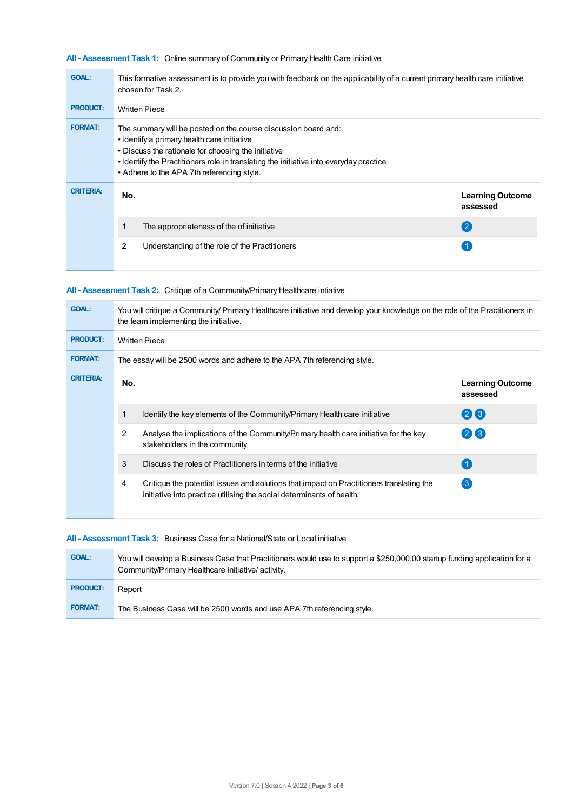## **All - Assessment Task 1:** Online summary of Community or Primary Health Care initiative

| <b>GOAL:</b>     | This formative assessment is to provide you with feedback on the applicability of a current primary health care initiative<br>chosen for Task 2.                                                                                                                                                             |                                     |
|------------------|--------------------------------------------------------------------------------------------------------------------------------------------------------------------------------------------------------------------------------------------------------------------------------------------------------------|-------------------------------------|
| <b>PRODUCT:</b>  | <b>Written Piece</b>                                                                                                                                                                                                                                                                                         |                                     |
| <b>FORMAT:</b>   | The summary will be posted on the course discussion board and:<br>• Identify a primary health care initiative<br>. Discuss the rationale for choosing the initiative<br>• Identify the Practitioners role in translating the initiative into everyday practice<br>• Adhere to the APA 7th referencing style. |                                     |
| <b>CRITERIA:</b> | No.                                                                                                                                                                                                                                                                                                          | <b>Learning Outcome</b><br>assessed |
|                  | The appropriateness of the of initiative                                                                                                                                                                                                                                                                     | $\left( 2 \right)$                  |
|                  | 2<br>Understanding of the role of the Practitioners                                                                                                                                                                                                                                                          |                                     |
|                  |                                                                                                                                                                                                                                                                                                              |                                     |

## **All - Assessment Task 2:** Critique of a Community/Primary Healthcare intiative

| <b>GOAL:</b>     | You will critique a Community/ Primary Healthcare initiative and develop your knowledge on the role of the Practitioners in<br>the team implementing the initiative. |                                                                                                                                                                   |                                     |  |  |
|------------------|----------------------------------------------------------------------------------------------------------------------------------------------------------------------|-------------------------------------------------------------------------------------------------------------------------------------------------------------------|-------------------------------------|--|--|
| <b>PRODUCT:</b>  | <b>Written Piece</b>                                                                                                                                                 |                                                                                                                                                                   |                                     |  |  |
| <b>FORMAT:</b>   | The essay will be 2500 words and adhere to the APA 7th referencing style.                                                                                            |                                                                                                                                                                   |                                     |  |  |
| <b>CRITERIA:</b> | No.                                                                                                                                                                  |                                                                                                                                                                   | <b>Learning Outcome</b><br>assessed |  |  |
|                  | 1                                                                                                                                                                    | Identify the key elements of the Community/Primary Health care initiative                                                                                         | 26                                  |  |  |
|                  | 2                                                                                                                                                                    | Analyse the implications of the Community/Primary health care initiative for the key<br>stakeholders in the community                                             | (2)(3)                              |  |  |
|                  | 3                                                                                                                                                                    | Discuss the roles of Practitioners in terms of the initiative                                                                                                     | $\blacktriangleleft$                |  |  |
|                  | 4                                                                                                                                                                    | Critique the potential issues and solutions that impact on Practitioners translating the<br>initiative into practice utilising the social determinants of health. | $\left(3\right)$                    |  |  |
|                  |                                                                                                                                                                      |                                                                                                                                                                   |                                     |  |  |

#### **All - Assessment Task 3:** Business Case for a National/State or Local initiative

| <b>GOAL:</b>    | You will develop a Business Case that Practitioners would use to support a \$250,000.00 startup funding application for a<br>Community/Primary Healthcare initiative/activity. |
|-----------------|--------------------------------------------------------------------------------------------------------------------------------------------------------------------------------|
| <b>PRODUCT:</b> | Report                                                                                                                                                                         |
| <b>FORMAT:</b>  | The Business Case will be 2500 words and use APA 7th referencing style.                                                                                                        |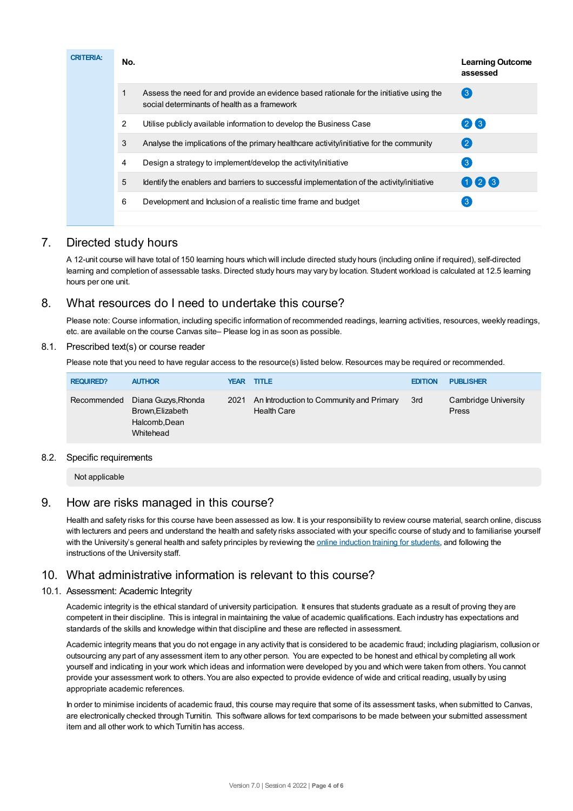| <b>CRITERIA:</b> | No. |                                                                                                                                          | <b>Learning Outcome</b><br>assessed |
|------------------|-----|------------------------------------------------------------------------------------------------------------------------------------------|-------------------------------------|
|                  |     | Assess the need for and provide an evidence based rationale for the initiative using the<br>social determinants of health as a framework | $\left( 3 \right)$                  |
|                  | 2   | Utilise publicly available information to develop the Business Case                                                                      | 26                                  |
|                  | 3   | Analyse the implications of the primary healthcare activity/initiative for the community                                                 | $\left( 2\right)$                   |
|                  | 4   | Design a strategy to implement/develop the activity/initiative                                                                           | $\lceil 3 \rceil$                   |
|                  | 5   | Identify the enablers and barriers to successful implementation of the activity/initiative                                               | 026                                 |
|                  | 6   | Development and Inclusion of a realistic time frame and budget                                                                           | -3                                  |
|                  |     |                                                                                                                                          |                                     |

# 7. Directed study hours

A 12-unit course will have total of 150 learning hours which will include directed study hours (including online if required), self-directed learning and completion of assessable tasks. Directed study hours may vary by location. Student workload is calculated at 12.5 learning hours per one unit.

# 8. What resources do I need to undertake this course?

Please note: Course information, including specific information of recommended readings, learning activities, resources, weekly readings, etc. are available on the course Canvas site– Please log in as soon as possible.

## 8.1. Prescribed text(s) or course reader

Please note that you need to have regular access to the resource(s) listed below. Resources may be required or recommended.

| <b>REQUIRED?</b> | <b>AUTHOR</b>                                                         | <b>YEAR TITLE</b> |                                                                | <b>EDITION</b> | <b>PUBLISHER</b>                     |
|------------------|-----------------------------------------------------------------------|-------------------|----------------------------------------------------------------|----------------|--------------------------------------|
| Recommended      | Diana Guzys, Rhonda<br>Brown, Elizabeth<br>Halcomb, Dean<br>Whitehead | 2021              | An Introduction to Community and Primary<br><b>Health Care</b> | 3rd            | Cambridge University<br><b>Press</b> |

## 8.2. Specific requirements

Not applicable

# 9. How are risks managed in this course?

Health and safety risks for this course have been assessed as low. It is your responsibility to review course material, search online, discuss with lecturers and peers and understand the health and safety risks associated with your specific course of study and to familiarise yourself with the University's general health and safety principles by reviewing the online [induction](https://online.usc.edu.au/webapps/blackboard/content/listContentEditable.jsp?content_id=_632657_1&course_id=_14432_1) training for students, and following the instructions of the University staff.

# 10. What administrative information is relevant to this course?

## 10.1. Assessment: Academic Integrity

Academic integrity is the ethical standard of university participation. It ensures that students graduate as a result of proving they are competent in their discipline. This is integral in maintaining the value of academic qualifications. Each industry has expectations and standards of the skills and knowledge within that discipline and these are reflected in assessment.

Academic integrity means that you do not engage in any activity that is considered to be academic fraud; including plagiarism, collusion or outsourcing any part of any assessment item to any other person. You are expected to be honest and ethical by completing all work yourself and indicating in your work which ideas and information were developed by you and which were taken from others. You cannot provide your assessment work to others.You are also expected to provide evidence of wide and critical reading, usually by using appropriate academic references.

In order to minimise incidents of academic fraud, this course may require that some of its assessment tasks, when submitted to Canvas, are electronically checked through Turnitin. This software allows for text comparisons to be made between your submitted assessment item and all other work to which Turnitin has access.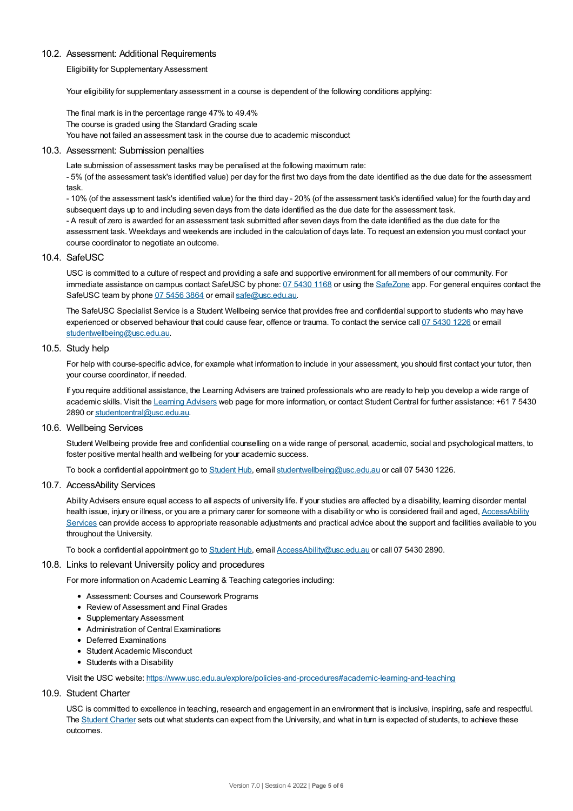#### 10.2. Assessment: Additional Requirements

Eligibility for Supplementary Assessment

Your eligibility for supplementary assessment in a course is dependent of the following conditions applying:

The final mark is in the percentage range 47% to 49.4% The course is graded using the Standard Grading scale You have not failed an assessment task in the course due to academic misconduct

#### 10.3. Assessment: Submission penalties

Late submission of assessment tasks may be penalised at the following maximum rate:

- 5% (of the assessment task's identified value) per day for the first two days from the date identified as the due date for the assessment task.

- 10% (of the assessment task's identified value) for the third day - 20% (of the assessment task's identified value) for the fourth day and subsequent days up to and including seven days from the date identified as the due date for the assessment task.

- A result of zero is awarded for an assessment task submitted after seven days from the date identified as the due date for the assessment task. Weekdays and weekends are included in the calculation of days late. To request an extension you must contact your course coordinator to negotiate an outcome.

#### 10.4. SafeUSC

USC is committed to a culture of respect and providing a safe and supportive environment for all members of our community. For immediate assistance on campus contact SafeUSC by phone: 07 [5430](tel:07%205430%201168) 1168 or using the [SafeZone](https://www.safezoneapp.com) app. For general enquires contact the SafeUSC team by phone 07 [5456](tel:07%205456%203864) 3864 or email [safe@usc.edu.au](mailto:safe@usc.edu.au).

The SafeUSC Specialist Service is a Student Wellbeing service that provides free and confidential support to students who may have experienced or observed behaviour that could cause fear, offence or trauma. To contact the service call 07 [5430](tel:07%205430%201226) 1226 or email [studentwellbeing@usc.edu.au](mailto:studentwellbeing@usc.edu.au).

#### 10.5. Study help

For help with course-specific advice, for example what information to include in your assessment, you should first contact your tutor, then your course coordinator, if needed.

If you require additional assistance, the Learning Advisers are trained professionals who are ready to help you develop a wide range of academic skills. Visit the Learning [Advisers](https://www.usc.edu.au/current-students/student-support/academic-and-study-support/learning-advisers) web page for more information, or contact Student Central for further assistance: +61 7 5430 2890 or [studentcentral@usc.edu.au](mailto:studentcentral@usc.edu.au).

## 10.6. Wellbeing Services

Student Wellbeing provide free and confidential counselling on a wide range of personal, academic, social and psychological matters, to foster positive mental health and wellbeing for your academic success.

To book a confidential appointment go to [Student](https://studenthub.usc.edu.au/) Hub, email [studentwellbeing@usc.edu.au](mailto:studentwellbeing@usc.edu.au) or call 07 5430 1226.

#### 10.7. AccessAbility Services

Ability Advisers ensure equal access to all aspects of university life. If your studies are affected by a disability, learning disorder mental health issue, injury or illness, or you are a primary carer for someone with a disability or who is considered frail and aged, [AccessAbility](https://www.usc.edu.au/learn/student-support/accessability-services/documentation-requirements) Services can provide access to appropriate reasonable adjustments and practical advice about the support and facilities available to you throughout the University.

To book a confidential appointment go to [Student](https://studenthub.usc.edu.au/) Hub, email [AccessAbility@usc.edu.au](mailto:AccessAbility@usc.edu.au) or call 07 5430 2890.

#### 10.8. Links to relevant University policy and procedures

For more information on Academic Learning & Teaching categories including:

- Assessment: Courses and Coursework Programs
- Review of Assessment and Final Grades
- Supplementary Assessment
- Administration of Central Examinations
- Deferred Examinations
- Student Academic Misconduct
- Students with a Disability

Visit the USC website: <https://www.usc.edu.au/explore/policies-and-procedures#academic-learning-and-teaching>

10.9. Student Charter

USC is committed to excellence in teaching, research and engagement in an environment that is inclusive, inspiring, safe and respectful. The [Student](https://www.usc.edu.au/current-students/student-charter) Charter sets out what students can expect from the University, and what in turn is expected of students, to achieve these outcomes.